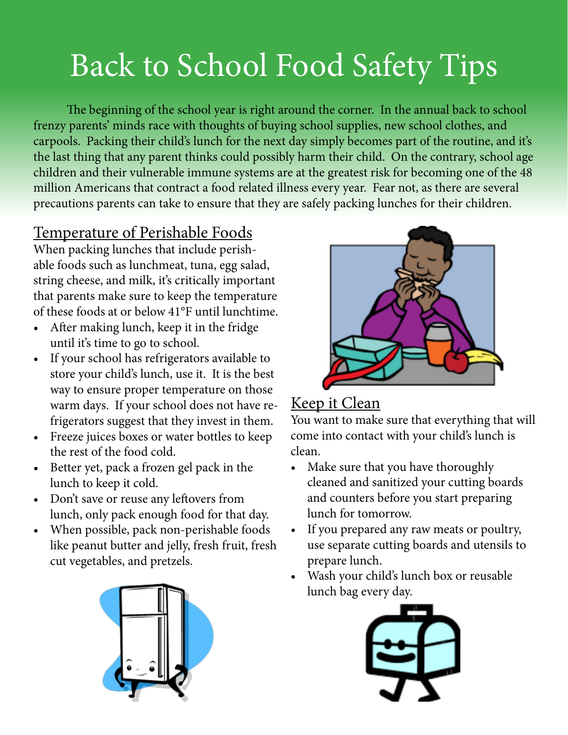# Back to School Food Safety Tips

The beginning of the school year is right around the corner. In the annual back to school frenzy parents' minds race with thoughts of buying school supplies, new school clothes, and carpools. Packing their child's lunch for the next day simply becomes part of the routine, and it's the last thing that any parent thinks could possibly harm their child. On the contrary, school age children and their vulnerable immune systems are at the greatest risk for becoming one of the 48 million Americans that contract a food related illness every year. Fear not, as there are several precautions parents can take to ensure that they are safely packing lunches for their children.

### Temperature of Perishable Foods

When packing lunches that include perishable foods such as lunchmeat, tuna, egg salad, string cheese, and milk, it's critically important that parents make sure to keep the temperature of these foods at or below 41°F until lunchtime.

- After making lunch, keep it in the fridge until it's time to go to school.
- • If your school has refrigerators available to store your child's lunch, use it. It is the best way to ensure proper temperature on those warm days. If your school does not have refrigerators suggest that they invest in them.
- • Freeze juices boxes or water bottles to keep the rest of the food cold.
- • Better yet, pack a frozen gel pack in the lunch to keep it cold.
- Don't save or reuse any leftovers from lunch, only pack enough food for that day.
- • When possible, pack non-perishable foods like peanut butter and jelly, fresh fruit, fresh cut vegetables, and pretzels.





### Keep it Clean

You want to make sure that everything that will come into contact with your child's lunch is clean.

- Make sure that you have thoroughly cleaned and sanitized your cutting boards and counters before you start preparing lunch for tomorrow.
- • If you prepared any raw meats or poultry, use separate cutting boards and utensils to prepare lunch.
- • Wash your child's lunch box or reusable lunch bag every day.